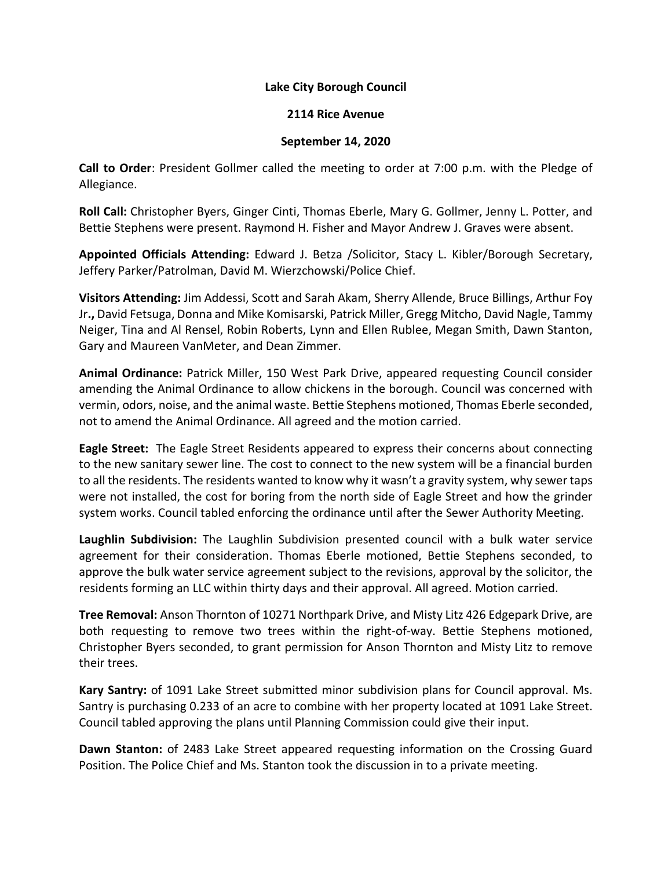## **Lake City Borough Council**

#### **2114 Rice Avenue**

#### **September 14, 2020**

**Call to Order**: President Gollmer called the meeting to order at 7:00 p.m. with the Pledge of Allegiance.

**Roll Call:** Christopher Byers, Ginger Cinti, Thomas Eberle, Mary G. Gollmer, Jenny L. Potter, and Bettie Stephens were present. Raymond H. Fisher and Mayor Andrew J. Graves were absent.

**Appointed Officials Attending:** Edward J. Betza /Solicitor, Stacy L. Kibler/Borough Secretary, Jeffery Parker/Patrolman, David M. Wierzchowski/Police Chief.

**Visitors Attending:** Jim Addessi, Scott and Sarah Akam, Sherry Allende, Bruce Billings, Arthur Foy Jr**.,** David Fetsuga, Donna and Mike Komisarski, Patrick Miller, Gregg Mitcho, David Nagle, Tammy Neiger, Tina and Al Rensel, Robin Roberts, Lynn and Ellen Rublee, Megan Smith, Dawn Stanton, Gary and Maureen VanMeter, and Dean Zimmer.

**Animal Ordinance:** Patrick Miller, 150 West Park Drive, appeared requesting Council consider amending the Animal Ordinance to allow chickens in the borough. Council was concerned with vermin, odors, noise, and the animal waste. Bettie Stephens motioned, Thomas Eberle seconded, not to amend the Animal Ordinance. All agreed and the motion carried.

**Eagle Street:** The Eagle Street Residents appeared to express their concerns about connecting to the new sanitary sewer line. The cost to connect to the new system will be a financial burden to all the residents. The residents wanted to know why it wasn't a gravity system, why sewer taps were not installed, the cost for boring from the north side of Eagle Street and how the grinder system works. Council tabled enforcing the ordinance until after the Sewer Authority Meeting.

**Laughlin Subdivision:** The Laughlin Subdivision presented council with a bulk water service agreement for their consideration. Thomas Eberle motioned, Bettie Stephens seconded, to approve the bulk water service agreement subject to the revisions, approval by the solicitor, the residents forming an LLC within thirty days and their approval. All agreed. Motion carried.

**Tree Removal:** Anson Thornton of 10271 Northpark Drive, and Misty Litz 426 Edgepark Drive, are both requesting to remove two trees within the right-of-way. Bettie Stephens motioned, Christopher Byers seconded, to grant permission for Anson Thornton and Misty Litz to remove their trees.

**Kary Santry:** of 1091 Lake Street submitted minor subdivision plans for Council approval. Ms. Santry is purchasing 0.233 of an acre to combine with her property located at 1091 Lake Street. Council tabled approving the plans until Planning Commission could give their input.

**Dawn Stanton:** of 2483 Lake Street appeared requesting information on the Crossing Guard Position. The Police Chief and Ms. Stanton took the discussion in to a private meeting.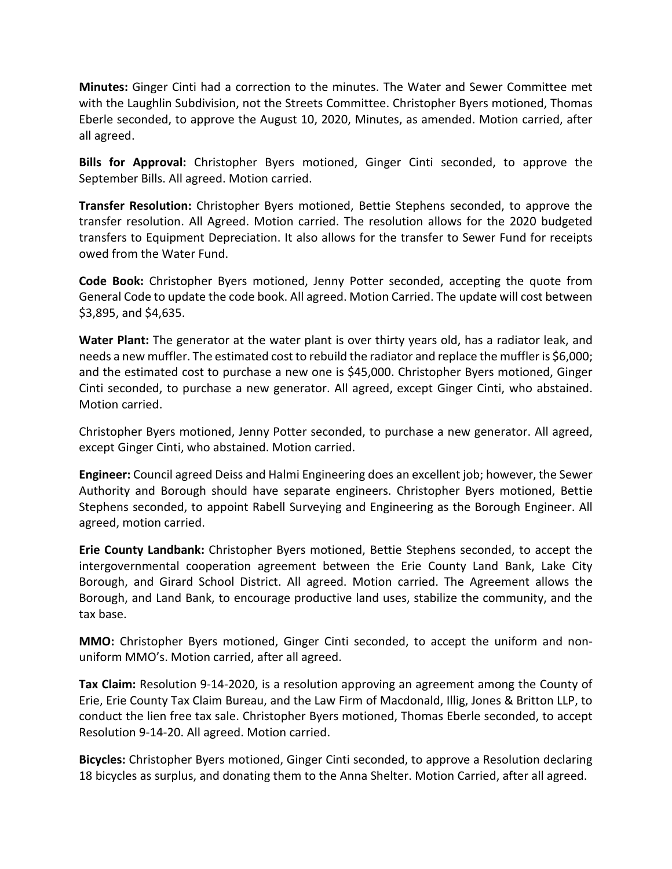**Minutes:** Ginger Cinti had a correction to the minutes. The Water and Sewer Committee met with the Laughlin Subdivision, not the Streets Committee. Christopher Byers motioned, Thomas Eberle seconded, to approve the August 10, 2020, Minutes, as amended. Motion carried, after all agreed.

**Bills for Approval:** Christopher Byers motioned, Ginger Cinti seconded, to approve the September Bills. All agreed. Motion carried.

**Transfer Resolution:** Christopher Byers motioned, Bettie Stephens seconded, to approve the transfer resolution. All Agreed. Motion carried. The resolution allows for the 2020 budgeted transfers to Equipment Depreciation. It also allows for the transfer to Sewer Fund for receipts owed from the Water Fund.

**Code Book:** Christopher Byers motioned, Jenny Potter seconded, accepting the quote from General Code to update the code book. All agreed. Motion Carried. The update will cost between \$3,895, and \$4,635.

**Water Plant:** The generator at the water plant is over thirty years old, has a radiator leak, and needs a new muffler. The estimated cost to rebuild the radiator and replace the muffler is \$6,000; and the estimated cost to purchase a new one is \$45,000. Christopher Byers motioned, Ginger Cinti seconded, to purchase a new generator. All agreed, except Ginger Cinti, who abstained. Motion carried.

Christopher Byers motioned, Jenny Potter seconded, to purchase a new generator. All agreed, except Ginger Cinti, who abstained. Motion carried.

**Engineer:** Council agreed Deiss and Halmi Engineering does an excellent job; however, the Sewer Authority and Borough should have separate engineers. Christopher Byers motioned, Bettie Stephens seconded, to appoint Rabell Surveying and Engineering as the Borough Engineer. All agreed, motion carried.

**Erie County Landbank:** Christopher Byers motioned, Bettie Stephens seconded, to accept the intergovernmental cooperation agreement between the Erie County Land Bank, Lake City Borough, and Girard School District. All agreed. Motion carried. The Agreement allows the Borough, and Land Bank, to encourage productive land uses, stabilize the community, and the tax base.

**MMO:** Christopher Byers motioned, Ginger Cinti seconded, to accept the uniform and nonuniform MMO's. Motion carried, after all agreed.

**Tax Claim:** Resolution 9-14-2020, is a resolution approving an agreement among the County of Erie, Erie County Tax Claim Bureau, and the Law Firm of Macdonald, Illig, Jones & Britton LLP, to conduct the lien free tax sale. Christopher Byers motioned, Thomas Eberle seconded, to accept Resolution 9-14-20. All agreed. Motion carried.

**Bicycles:** Christopher Byers motioned, Ginger Cinti seconded, to approve a Resolution declaring 18 bicycles as surplus, and donating them to the Anna Shelter. Motion Carried, after all agreed.